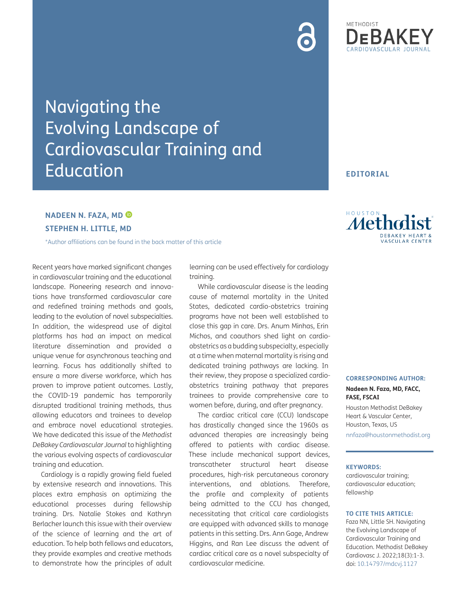# Navigating the Evolving Landscape of Cardiovascular Training and **Education**

# **NADEEN N. FAZA, MD STEPHEN H. LITTLE, MD**

[\\*Author affiliations can be found in the back matter of this article](#page-2-0)

Recent years have marked significant changes in cardiovascular training and the educational landscape. Pioneering research and innovations have transformed cardiovascular care and redefined training methods and goals, leading to the evolution of novel subspecialties. In addition, the widespread use of digital platforms has had an impact on medical literature dissemination and provided a unique venue for asynchronous teaching and learning. Focus has additionally shifted to ensure a more diverse workforce, which has proven to improve patient outcomes. Lastly, the COVID-19 pandemic has temporarily disrupted traditional training methods, thus allowing educators and trainees to develop and embrace novel educational strategies. We have dedicated this issue of the *Methodist DeBakey Cardiovascular Journal* to highlighting the various evolving aspects of cardiovascular training and education.

Cardiology is a rapidly growing field fueled by extensive research and innovations. This places extra emphasis on optimizing the educational processes during fellowship training. Drs. Natalie Stokes and Kathryn Berlacher launch this issue with their overview of the science of learning and the art of education. To help both fellows and educators, they provide examples and creative methods to demonstrate how the principles of adult

learning can be used effectively for cardiology training.

While cardiovascular disease is the leading cause of maternal mortality in the United States, dedicated cardio-obstetrics training programs have not been well established to close this gap in care. Drs. Anum Minhas, Erin Michos, and coauthors shed light on cardioobstetrics as a budding subspecialty, especially at a time when maternal mortality is rising and dedicated training pathways are lacking. In their review, they propose a specialized cardioobstetrics training pathway that prepares trainees to provide comprehensive care to women before, during, and after pregnancy.

The cardiac critical care (CCU) landscape has drastically changed since the 1960s as advanced therapies are increasingly being offered to patients with cardiac disease. These include mechanical support devices, transcatheter structural heart disease procedures, high-risk percutaneous coronary interventions, and ablations. Therefore, the profile and complexity of patients being admitted to the CCU has changed, necessitating that critical care cardiologists are equipped with advanced skills to manage patients in this setting. Drs. Ann Gage, Andrew Higgins, and Ran Lee discuss the advent of cardiac critical care as a novel subspecialty of cardiovascular medicine.

Metholist

**EDITORIAL**

METHODIST

# **SCULAR CENTER**

#### **CORRESPONDING AUTHOR:**

**Nadeen N. Faza, MD, FACC, FASE, FSCAI**

Houston Methodist DeBakey Heart & Vascular Center, Houston, Texas, US [nnfaza@houstonmethodist.org](mailto:nnfaza@houstonmethodist.org)

#### **KEYWORDS:**

cardiovascular training; cardiovascular education; fellowship

#### **TO CITE THIS ARTICLE:**

Faza NN, Little SH. Navigating the Evolving Landscape of Cardiovascular Training and Education. Methodist DeBakey Cardiovasc J. 2022;18(3):1-3. doi: [10.14797/mdcvj.1127](https://doi.org/10.14797/mdcvj.1127)

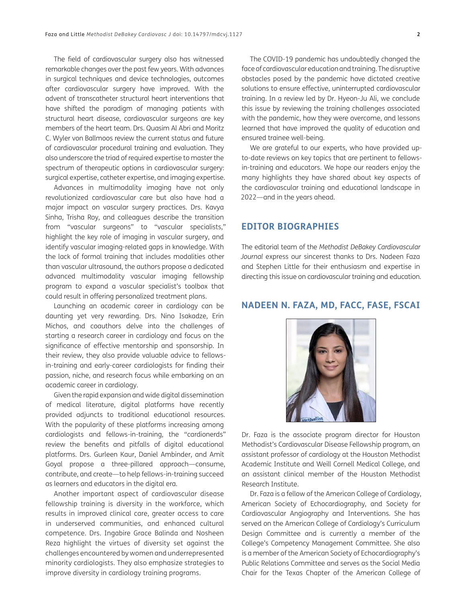The field of cardiovascular surgery also has witnessed remarkable changes over the past few years. With advances in surgical techniques and device technologies, outcomes after cardiovascular surgery have improved. With the advent of transcatheter structural heart interventions that have shifted the paradigm of managing patients with structural heart disease, cardiovascular surgeons are key members of the heart team. Drs. Quasim Al Abri and Moritz C. Wyler von Ballmoos review the current status and future of cardiovascular procedural training and evaluation. They also underscore the triad of required expertise to master the spectrum of therapeutic options in cardiovascular surgery: surgical expertise, catheter expertise, and imaging expertise.

Advances in multimodality imaging have not only revolutionized cardiovascular care but also have had a major impact on vascular surgery practices. Drs. Kavya Sinha, Trisha Roy, and colleagues describe the transition from "vascular surgeons" to "vascular specialists," highlight the key role of imaging in vascular surgery, and identify vascular imaging-related gaps in knowledge. With the lack of formal training that includes modalities other than vascular ultrasound, the authors propose a dedicated advanced multimodality vascular imaging fellowship program to expand a vascular specialist's toolbox that could result in offering personalized treatment plans.

Launching an academic career in cardiology can be daunting yet very rewarding. Drs. Nino Isakadze, Erin Michos, and coauthors delve into the challenges of starting a research career in cardiology and focus on the significance of effective mentorship and sponsorship. In their review, they also provide valuable advice to fellowsin-training and early-career cardiologists for finding their passion, niche, and research focus while embarking on an academic career in cardiology.

Given the rapid expansion and wide digital dissemination of medical literature, digital platforms have recently provided adjuncts to traditional educational resources. With the popularity of these platforms increasing among cardiologists and fellows-in-training, the "cardionerds" review the benefits and pitfalls of digital educational platforms. Drs. Gurleen Kaur, Daniel Ambinder, and Amit Goyal propose a three-pillared approach—consume, contribute, and create—to help fellows-in-training succeed as learners and educators in the digital era.

Another important aspect of cardiovascular disease fellowship training is diversity in the workforce, which results in improved clinical care, greater access to care in underserved communities, and enhanced cultural competence. Drs. Ingabire Grace Balinda and Nosheen Reza highlight the virtues of diversity set against the challenges encountered by women and underrepresented minority cardiologists. They also emphasize strategies to improve diversity in cardiology training programs.

The COVID-19 pandemic has undoubtedly changed the face of cardiovascular education and training. The disruptive obstacles posed by the pandemic have dictated creative solutions to ensure effective, uninterrupted cardiovascular training. In a review led by Dr. Hyeon-Ju Ali, we conclude this issue by reviewing the training challenges associated with the pandemic, how they were overcome, and lessons learned that have improved the quality of education and ensured trainee well-being.

We are grateful to our experts, who have provided upto-date reviews on key topics that are pertinent to fellowsin-training and educators. We hope our readers enjoy the many highlights they have shared about key aspects of the cardiovascular training and educational landscape in 2022—and in the years ahead.

# **EDITOR BIOGRAPHIES**

The editorial team of the *Methodist DeBakey Cardiovascular Journal* express our sincerest thanks to Drs. Nadeen Faza and Stephen Little for their enthusiasm and expertise in directing this issue on cardiovascular training and education.

# **NADEEN N. FAZA, MD, FACC, FASE, FSCAI**



Dr. Faza is the associate program director for Houston Methodist's Cardiovascular Disease Fellowship program, an assistant professor of cardiology at the Houston Methodist Academic Institute and Weill Cornell Medical College, and an assistant clinical member of the Houston Methodist Research Institute.

Dr. Faza is a fellow of the American College of Cardiology, American Society of Echocardiography, and Society for Cardiovascular Angiography and Interventions. She has served on the American College of Cardiology's Curriculum Design Committee and is currently a member of the College's Competency Management Committee. She also is a member of the American Society of Echocardiography's Public Relations Committee and serves as the Social Media Chair for the Texas Chapter of the American College of